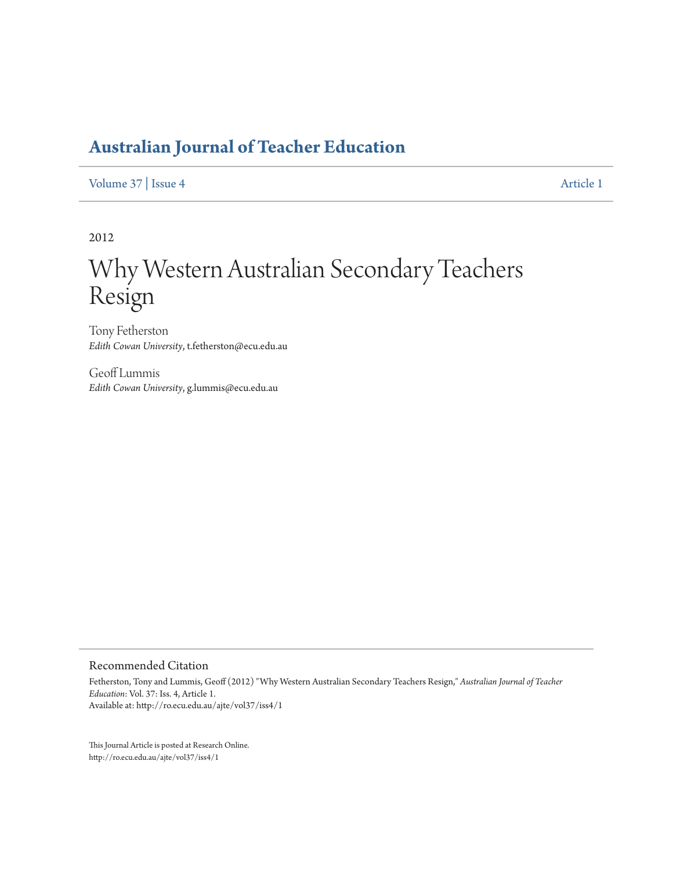# **Australian Journal of Teacher Education**

Volume 37 | Issue 4

Article 1

2012

# Why Western Australian Secondary Teachers Resign

Tony Fetherston Edith Cowan University, t.fetherston@ecu.edu.au

Geoff Lummis Edith Cowan University, g.lummis@ecu.edu.au

Recommended Citation

Fetherston, Tony and Lummis, Geoff (2012) "Why Western Australian Secondary Teachers Resign," Australian Journal of Teacher Education: Vol. 37: Iss. 4, Article 1. Available at: http://ro.ecu.edu.au/ajte/vol37/iss4/1

This Journal Article is posted at Research Online. http://ro.ecu.edu.au/ajte/vol37/iss4/1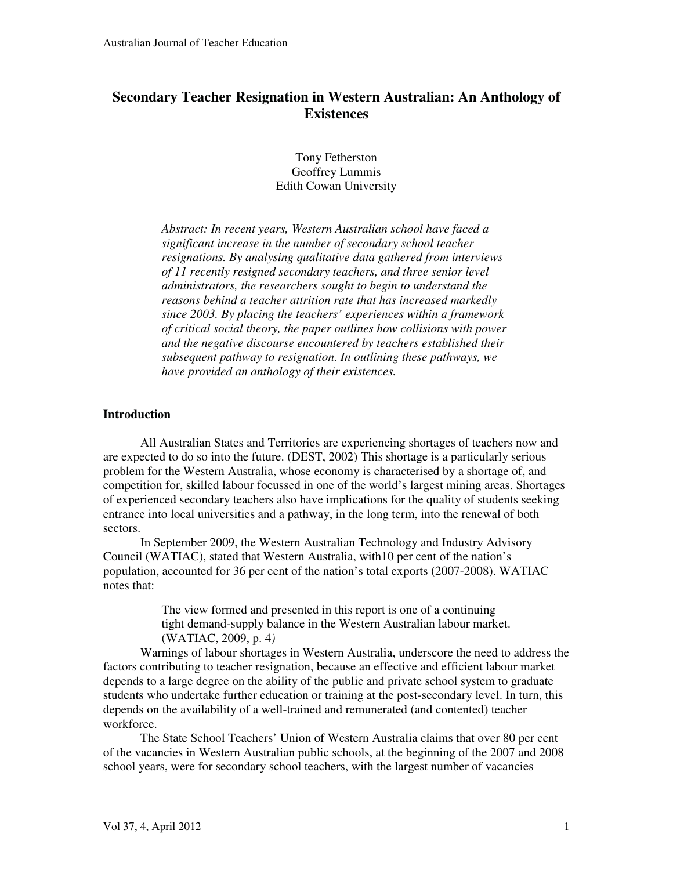# **Secondary Teacher Resignation in Western Australian: An Anthology of Existences**

Tony Fetherston Geoffrey Lummis Edith Cowan University

*Abstract: In recent years, Western Australian school have faced a significant increase in the number of secondary school teacher resignations. By analysing qualitative data gathered from interviews of 11 recently resigned secondary teachers, and three senior level administrators, the researchers sought to begin to understand the reasons behind a teacher attrition rate that has increased markedly since 2003. By placing the teachers' experiences within a framework of critical social theory, the paper outlines how collisions with power and the negative discourse encountered by teachers established their subsequent pathway to resignation. In outlining these pathways, we have provided an anthology of their existences.* 

#### **Introduction**

All Australian States and Territories are experiencing shortages of teachers now and are expected to do so into the future. (DEST, 2002) This shortage is a particularly serious problem for the Western Australia, whose economy is characterised by a shortage of, and competition for, skilled labour focussed in one of the world's largest mining areas. Shortages of experienced secondary teachers also have implications for the quality of students seeking entrance into local universities and a pathway, in the long term, into the renewal of both sectors.

In September 2009, the Western Australian Technology and Industry Advisory Council (WATIAC), stated that Western Australia, with10 per cent of the nation's population, accounted for 36 per cent of the nation's total exports (2007-2008). WATIAC notes that:

> The view formed and presented in this report is one of a continuing tight demand-supply balance in the Western Australian labour market. (WATIAC, 2009, p. 4*)*

Warnings of labour shortages in Western Australia, underscore the need to address the factors contributing to teacher resignation, because an effective and efficient labour market depends to a large degree on the ability of the public and private school system to graduate students who undertake further education or training at the post-secondary level. In turn, this depends on the availability of a well-trained and remunerated (and contented) teacher workforce.

The State School Teachers' Union of Western Australia claims that over 80 per cent of the vacancies in Western Australian public schools, at the beginning of the 2007 and 2008 school years, were for secondary school teachers, with the largest number of vacancies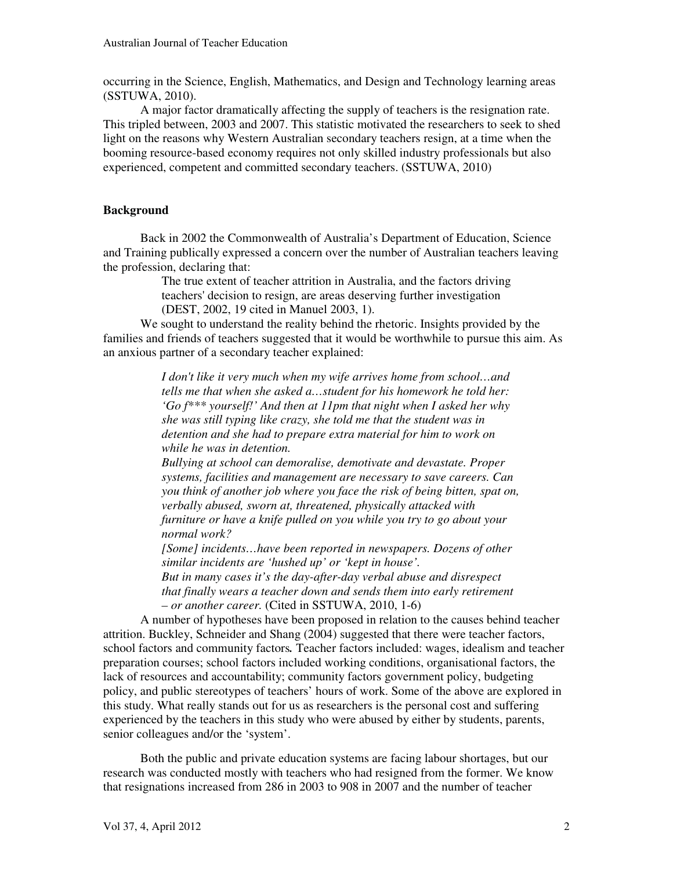occurring in the Science, English, Mathematics, and Design and Technology learning areas (SSTUWA, 2010).

A major factor dramatically affecting the supply of teachers is the resignation rate. This tripled between, 2003 and 2007. This statistic motivated the researchers to seek to shed light on the reasons why Western Australian secondary teachers resign, at a time when the booming resource-based economy requires not only skilled industry professionals but also experienced, competent and committed secondary teachers. (SSTUWA, 2010)

#### **Background**

Back in 2002 the Commonwealth of Australia's Department of Education, Science and Training publically expressed a concern over the number of Australian teachers leaving the profession, declaring that:

> The true extent of teacher attrition in Australia, and the factors driving teachers' decision to resign, are areas deserving further investigation (DEST, 2002, 19 cited in Manuel 2003, 1).

We sought to understand the reality behind the rhetoric. Insights provided by the families and friends of teachers suggested that it would be worthwhile to pursue this aim. As an anxious partner of a secondary teacher explained:

> *I don't like it very much when my wife arrives home from school…and tells me that when she asked a…student for his homework he told her: 'Go f\*\*\* yourself!' And then at 11pm that night when I asked her why she was still typing like crazy, she told me that the student was in detention and she had to prepare extra material for him to work on while he was in detention.*

*Bullying at school can demoralise, demotivate and devastate. Proper systems, facilities and management are necessary to save careers. Can you think of another job where you face the risk of being bitten, spat on, verbally abused, sworn at, threatened, physically attacked with furniture or have a knife pulled on you while you try to go about your normal work?* 

*[Some] incidents…have been reported in newspapers. Dozens of other similar incidents are 'hushed up' or 'kept in house'.* 

*But in many cases it's the day-after-day verbal abuse and disrespect that finally wears a teacher down and sends them into early retirement – or another career.* (Cited in SSTUWA, 2010, 1-6)

A number of hypotheses have been proposed in relation to the causes behind teacher attrition. Buckley, Schneider and Shang (2004) suggested that there were teacher factors, school factors and community factors*.* Teacher factors included: wages, idealism and teacher preparation courses; school factors included working conditions, organisational factors, the lack of resources and accountability; community factors government policy, budgeting policy, and public stereotypes of teachers' hours of work. Some of the above are explored in this study. What really stands out for us as researchers is the personal cost and suffering experienced by the teachers in this study who were abused by either by students, parents, senior colleagues and/or the 'system'.

Both the public and private education systems are facing labour shortages, but our research was conducted mostly with teachers who had resigned from the former. We know that resignations increased from 286 in 2003 to 908 in 2007 and the number of teacher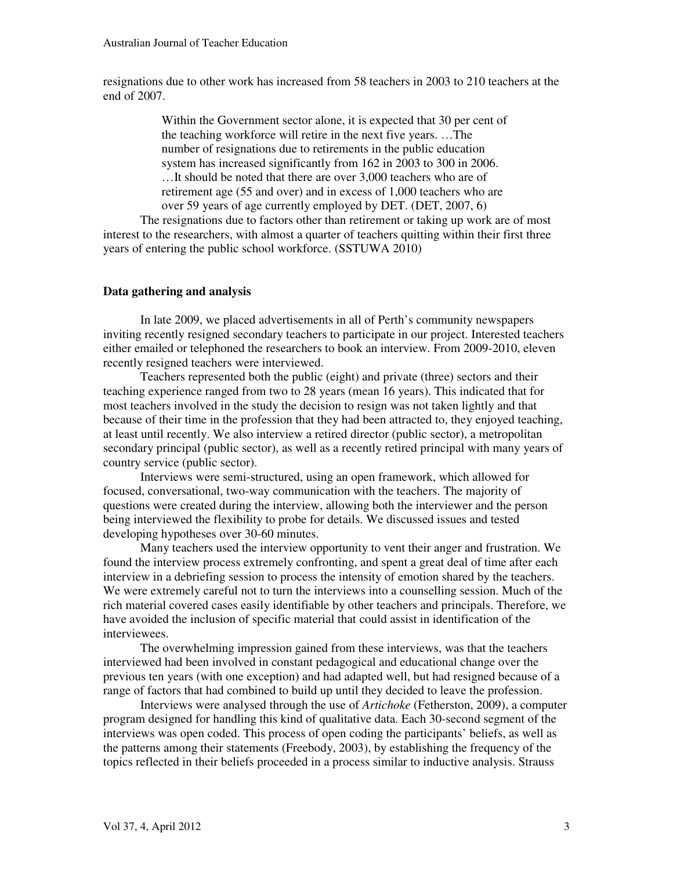resignations due to other work has increased from 58 teachers in 2003 to 210 teachers at the end of 2007.

> Within the Government sector alone, it is expected that 30 per cent of the teaching workforce will retire in the next five years. …The number of resignations due to retirements in the public education system has increased significantly from 162 in 2003 to 300 in 2006. …It should be noted that there are over 3,000 teachers who are of retirement age (55 and over) and in excess of 1,000 teachers who are over 59 years of age currently employed by DET. (DET, 2007, 6)

The resignations due to factors other than retirement or taking up work are of most interest to the researchers, with almost a quarter of teachers quitting within their first three years of entering the public school workforce. (SSTUWA 2010)

#### **Data gathering and analysis**

In late 2009, we placed advertisements in all of Perth's community newspapers inviting recently resigned secondary teachers to participate in our project. Interested teachers either emailed or telephoned the researchers to book an interview. From 2009-2010, eleven recently resigned teachers were interviewed.

Teachers represented both the public (eight) and private (three) sectors and their teaching experience ranged from two to 28 years (mean 16 years). This indicated that for most teachers involved in the study the decision to resign was not taken lightly and that because of their time in the profession that they had been attracted to, they enjoyed teaching, at least until recently. We also interview a retired director (public sector), a metropolitan secondary principal (public sector), as well as a recently retired principal with many years of country service (public sector).

Interviews were semi-structured, using an open framework, which allowed for focused, conversational, two-way communication with the teachers. The majority of questions were created during the interview, allowing both the interviewer and the person being interviewed the flexibility to probe for details. We discussed issues and tested developing hypotheses over 30-60 minutes.

Many teachers used the interview opportunity to vent their anger and frustration. We found the interview process extremely confronting, and spent a great deal of time after each interview in a debriefing session to process the intensity of emotion shared by the teachers. We were extremely careful not to turn the interviews into a counselling session. Much of the rich material covered cases easily identifiable by other teachers and principals. Therefore, we have avoided the inclusion of specific material that could assist in identification of the interviewees.

The overwhelming impression gained from these interviews, was that the teachers interviewed had been involved in constant pedagogical and educational change over the previous ten years (with one exception) and had adapted well, but had resigned because of a range of factors that had combined to build up until they decided to leave the profession.

Interviews were analysed through the use of *Artichoke* (Fetherston, 2009), a computer program designed for handling this kind of qualitative data. Each 30-second segment of the interviews was open coded. This process of open coding the participants' beliefs, as well as the patterns among their statements (Freebody, 2003), by establishing the frequency of the topics reflected in their beliefs proceeded in a process similar to inductive analysis. Strauss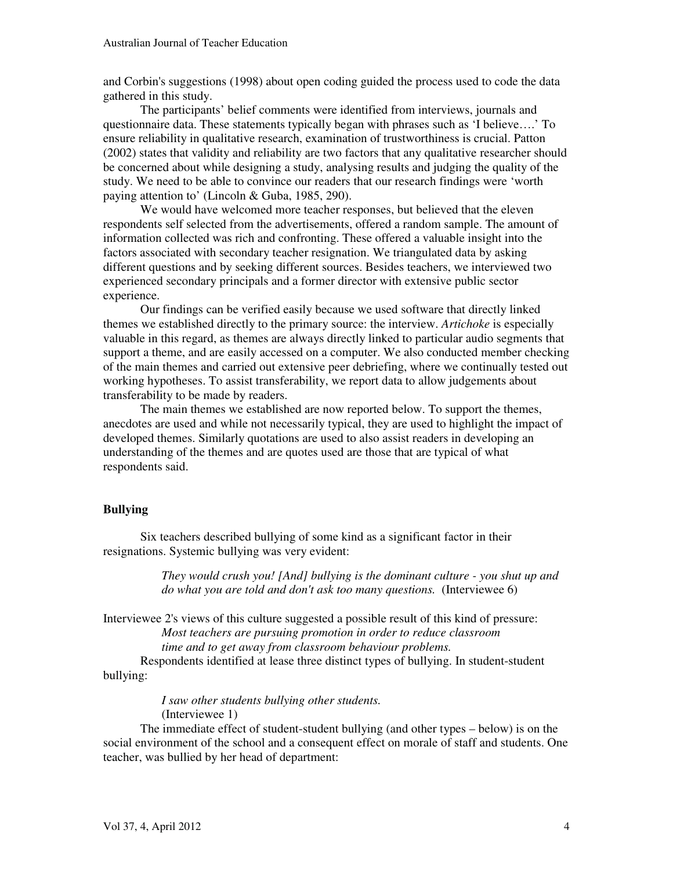and Corbin's suggestions (1998) about open coding guided the process used to code the data gathered in this study.

The participants' belief comments were identified from interviews, journals and questionnaire data. These statements typically began with phrases such as 'I believe….' To ensure reliability in qualitative research, examination of trustworthiness is crucial. Patton (2002) states that validity and reliability are two factors that any qualitative researcher should be concerned about while designing a study, analysing results and judging the quality of the study. We need to be able to convince our readers that our research findings were 'worth paying attention to' (Lincoln & Guba, 1985, 290).

We would have welcomed more teacher responses, but believed that the eleven respondents self selected from the advertisements, offered a random sample. The amount of information collected was rich and confronting. These offered a valuable insight into the factors associated with secondary teacher resignation. We triangulated data by asking different questions and by seeking different sources. Besides teachers, we interviewed two experienced secondary principals and a former director with extensive public sector experience.

Our findings can be verified easily because we used software that directly linked themes we established directly to the primary source: the interview. *Artichoke* is especially valuable in this regard, as themes are always directly linked to particular audio segments that support a theme, and are easily accessed on a computer. We also conducted member checking of the main themes and carried out extensive peer debriefing, where we continually tested out working hypotheses. To assist transferability, we report data to allow judgements about transferability to be made by readers.

The main themes we established are now reported below. To support the themes, anecdotes are used and while not necessarily typical, they are used to highlight the impact of developed themes. Similarly quotations are used to also assist readers in developing an understanding of the themes and are quotes used are those that are typical of what respondents said.

#### **Bullying**

Six teachers described bullying of some kind as a significant factor in their resignations. Systemic bullying was very evident:

> *They would crush you! [And] bullying is the dominant culture - you shut up and do what you are told and don't ask too many questions.* (Interviewee 6)

Interviewee 2's views of this culture suggested a possible result of this kind of pressure: *Most teachers are pursuing promotion in order to reduce classroom time and to get away from classroom behaviour problems.*

Respondents identified at lease three distinct types of bullying. In student-student bullying:

> *I saw other students bullying other students.*  (Interviewee 1)

The immediate effect of student-student bullying (and other types – below) is on the social environment of the school and a consequent effect on morale of staff and students. One teacher, was bullied by her head of department: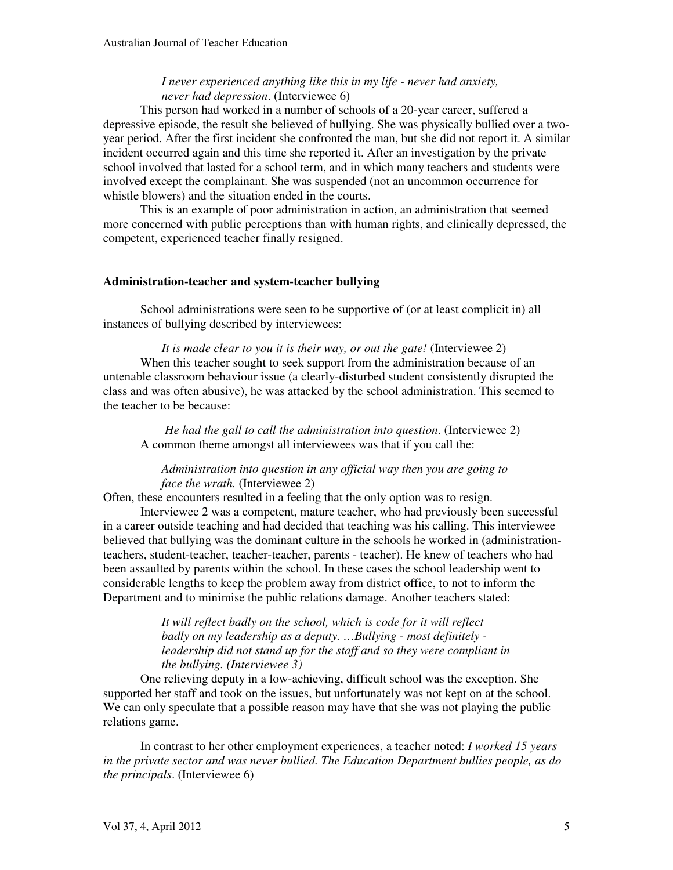# *I never experienced anything like this in my life - never had anxiety, never had depression*. (Interviewee 6)

This person had worked in a number of schools of a 20-year career, suffered a depressive episode, the result she believed of bullying. She was physically bullied over a twoyear period. After the first incident she confronted the man, but she did not report it. A similar incident occurred again and this time she reported it. After an investigation by the private school involved that lasted for a school term, and in which many teachers and students were involved except the complainant. She was suspended (not an uncommon occurrence for whistle blowers) and the situation ended in the courts.

This is an example of poor administration in action, an administration that seemed more concerned with public perceptions than with human rights, and clinically depressed, the competent, experienced teacher finally resigned.

# **Administration-teacher and system-teacher bullying**

School administrations were seen to be supportive of (or at least complicit in) all instances of bullying described by interviewees:

*It is made clear to you it is their way, or out the gate!* (Interviewee 2) When this teacher sought to seek support from the administration because of an untenable classroom behaviour issue (a clearly-disturbed student consistently disrupted the class and was often abusive), he was attacked by the school administration. This seemed to the teacher to be because:

*He had the gall to call the administration into question*. (Interviewee 2) A common theme amongst all interviewees was that if you call the:

# *Administration into question in any official way then you are going to face the wrath.* (Interviewee 2)

Often, these encounters resulted in a feeling that the only option was to resign.

Interviewee 2 was a competent, mature teacher, who had previously been successful in a career outside teaching and had decided that teaching was his calling. This interviewee believed that bullying was the dominant culture in the schools he worked in (administrationteachers, student-teacher, teacher-teacher, parents - teacher). He knew of teachers who had been assaulted by parents within the school. In these cases the school leadership went to considerable lengths to keep the problem away from district office, to not to inform the Department and to minimise the public relations damage. Another teachers stated:

> *It will reflect badly on the school, which is code for it will reflect badly on my leadership as a deputy. …Bullying - most definitely leadership did not stand up for the staff and so they were compliant in the bullying. (Interviewee 3)*

One relieving deputy in a low-achieving, difficult school was the exception. She supported her staff and took on the issues, but unfortunately was not kept on at the school. We can only speculate that a possible reason may have that she was not playing the public relations game.

In contrast to her other employment experiences, a teacher noted: *I worked 15 years in the private sector and was never bullied. The Education Department bullies people, as do the principals*. (Interviewee 6)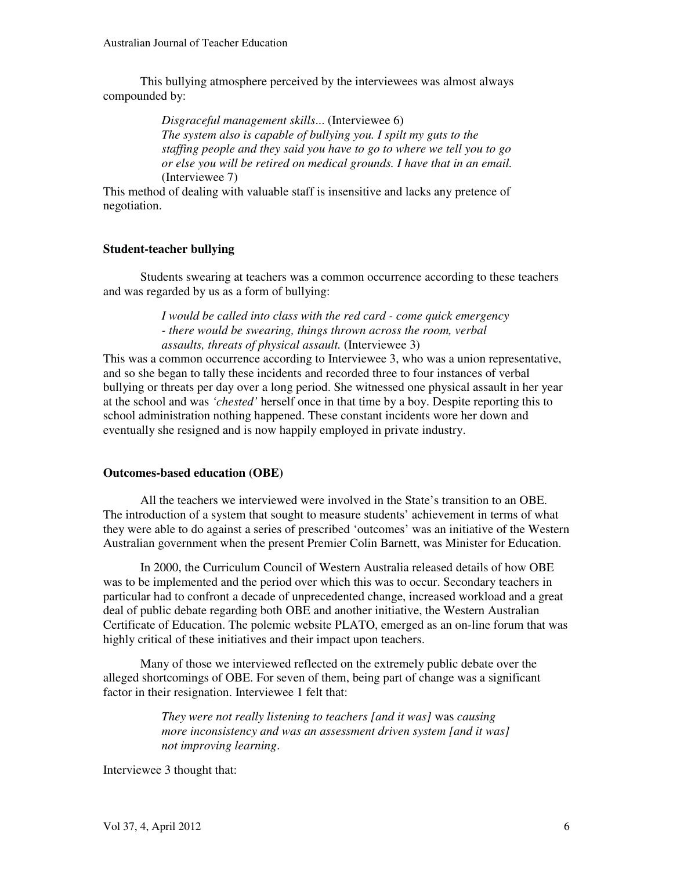This bullying atmosphere perceived by the interviewees was almost always compounded by:

> *Disgraceful management skills*... (Interviewee 6) *The system also is capable of bullying you. I spilt my guts to the staffing people and they said you have to go to where we tell you to go or else you will be retired on medical grounds. I have that in an email.*  (Interviewee 7)

This method of dealing with valuable staff is insensitive and lacks any pretence of negotiation.

# **Student-teacher bullying**

Students swearing at teachers was a common occurrence according to these teachers and was regarded by us as a form of bullying:

> *I would be called into class with the red card - come quick emergency - there would be swearing, things thrown across the room, verbal assaults, threats of physical assault.* (Interviewee 3)

This was a common occurrence according to Interviewee 3, who was a union representative, and so she began to tally these incidents and recorded three to four instances of verbal bullying or threats per day over a long period. She witnessed one physical assault in her year at the school and was *'chested'* herself once in that time by a boy. Despite reporting this to school administration nothing happened. These constant incidents wore her down and eventually she resigned and is now happily employed in private industry.

# **Outcomes-based education (OBE)**

All the teachers we interviewed were involved in the State's transition to an OBE. The introduction of a system that sought to measure students' achievement in terms of what they were able to do against a series of prescribed 'outcomes' was an initiative of the Western Australian government when the present Premier Colin Barnett, was Minister for Education.

In 2000, the Curriculum Council of Western Australia released details of how OBE was to be implemented and the period over which this was to occur. Secondary teachers in particular had to confront a decade of unprecedented change, increased workload and a great deal of public debate regarding both OBE and another initiative, the Western Australian Certificate of Education. The polemic website PLATO, emerged as an on-line forum that was highly critical of these initiatives and their impact upon teachers.

Many of those we interviewed reflected on the extremely public debate over the alleged shortcomings of OBE. For seven of them, being part of change was a significant factor in their resignation. Interviewee 1 felt that:

> *They were not really listening to teachers [and it was]* was *causing more inconsistency and was an assessment driven system [and it was] not improving learning*.

Interviewee 3 thought that: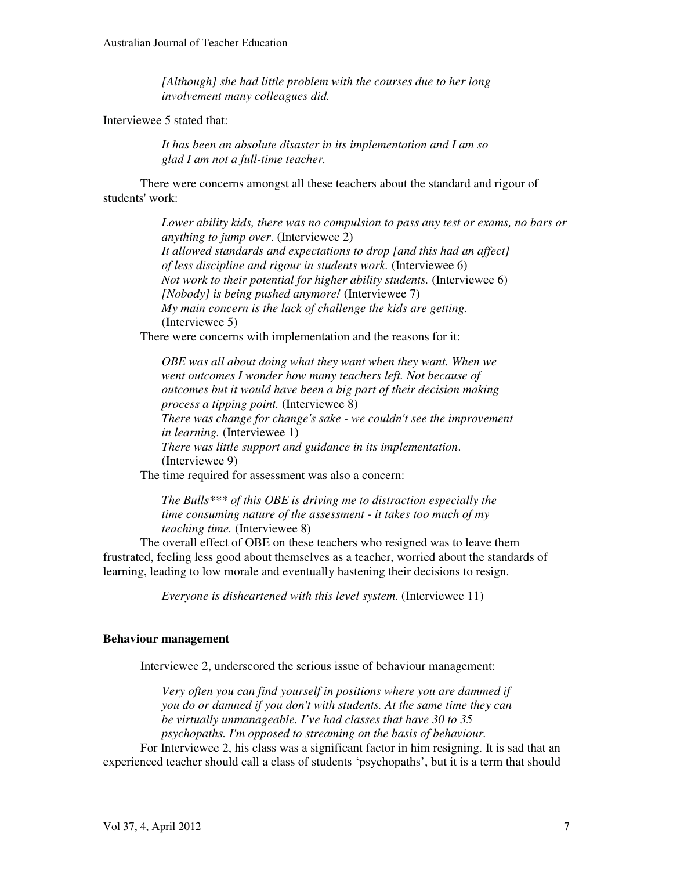*[Although] she had little problem with the courses due to her long involvement many colleagues did.* 

Interviewee 5 stated that:

*It has been an absolute disaster in its implementation and I am so glad I am not a full-time teacher.*

There were concerns amongst all these teachers about the standard and rigour of students' work:

> *Lower ability kids, there was no compulsion to pass any test or exams, no bars or anything to jump over*. (Interviewee 2) *It allowed standards and expectations to drop [and this had an affect] of less discipline and rigour in students work.* (Interviewee 6) *Not work to their potential for higher ability students.* (Interviewee 6) *[Nobody] is being pushed anymore!* (Interviewee 7) *My main concern is the lack of challenge the kids are getting.* (Interviewee 5)

There were concerns with implementation and the reasons for it:

*OBE was all about doing what they want when they want. When we went outcomes I wonder how many teachers left. Not because of outcomes but it would have been a big part of their decision making process a tipping point.* (Interviewee 8) *There was change for change's sake - we couldn't see the improvement in learning.* (Interviewee 1) *There was little support and guidance in its implementation*. (Interviewee 9) The time required for assessment was also a concern:

*The Bulls\*\*\* of this OBE is driving me to distraction especially the time consuming nature of the assessment - it takes too much of my teaching time.* (Interviewee 8)

The overall effect of OBE on these teachers who resigned was to leave them frustrated, feeling less good about themselves as a teacher, worried about the standards of learning, leading to low morale and eventually hastening their decisions to resign.

*Everyone is disheartened with this level system.* (Interviewee 11)

#### **Behaviour management**

Interviewee 2, underscored the serious issue of behaviour management:

*Very often you can find yourself in positions where you are dammed if you do or damned if you don't with students. At the same time they can be virtually unmanageable. I've had classes that have 30 to 35 psychopaths. I'm opposed to streaming on the basis of behaviour.*

For Interviewee 2, his class was a significant factor in him resigning. It is sad that an experienced teacher should call a class of students 'psychopaths', but it is a term that should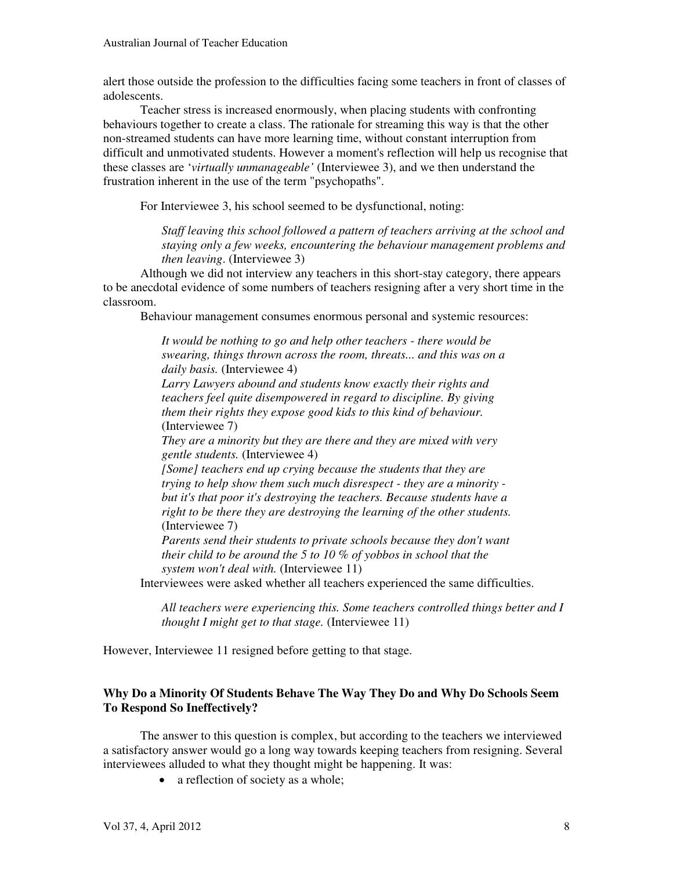alert those outside the profession to the difficulties facing some teachers in front of classes of adolescents.

Teacher stress is increased enormously, when placing students with confronting behaviours together to create a class. The rationale for streaming this way is that the other non-streamed students can have more learning time, without constant interruption from difficult and unmotivated students. However a moment's reflection will help us recognise that these classes are '*virtually unmanageable'* (Interviewee 3), and we then understand the frustration inherent in the use of the term "psychopaths".

For Interviewee 3, his school seemed to be dysfunctional, noting:

*Staff leaving this school followed a pattern of teachers arriving at the school and staying only a few weeks, encountering the behaviour management problems and then leaving*. (Interviewee 3)

Although we did not interview any teachers in this short-stay category, there appears to be anecdotal evidence of some numbers of teachers resigning after a very short time in the classroom.

Behaviour management consumes enormous personal and systemic resources:

*It would be nothing to go and help other teachers - there would be swearing, things thrown across the room, threats... and this was on a daily basis.* (Interviewee 4) *Larry Lawyers abound and students know exactly their rights and teachers feel quite disempowered in regard to discipline. By giving them their rights they expose good kids to this kind of behaviour.*  (Interviewee 7) *They are a minority but they are there and they are mixed with very gentle students.* (Interviewee 4) *[Some] teachers end up crying because the students that they are trying to help show them such much disrespect - they are a minority but it's that poor it's destroying the teachers. Because students have a* 

*right to be there they are destroying the learning of the other students.*  (Interviewee 7)

*Parents send their students to private schools because they don't want their child to be around the 5 to 10 % of yobbos in school that the system won't deal with.* (Interviewee 11)

Interviewees were asked whether all teachers experienced the same difficulties.

*All teachers were experiencing this. Some teachers controlled things better and I thought I might get to that stage.* (Interviewee 11)

However, Interviewee 11 resigned before getting to that stage.

# **Why Do a Minority Of Students Behave The Way They Do and Why Do Schools Seem To Respond So Ineffectively?**

The answer to this question is complex, but according to the teachers we interviewed a satisfactory answer would go a long way towards keeping teachers from resigning. Several interviewees alluded to what they thought might be happening. It was:

• a reflection of society as a whole;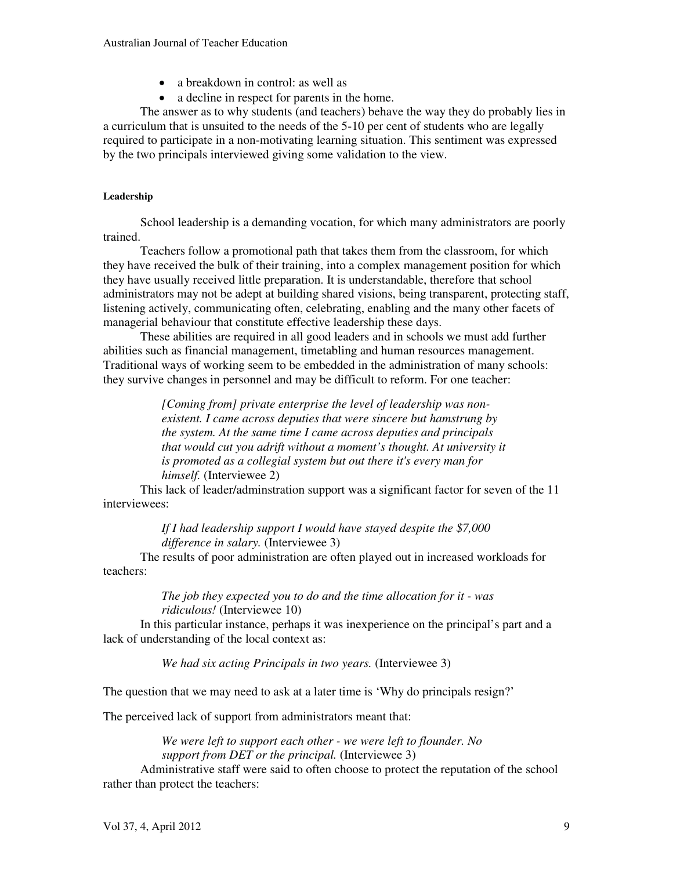- a breakdown in control: as well as
- a decline in respect for parents in the home.

The answer as to why students (and teachers) behave the way they do probably lies in a curriculum that is unsuited to the needs of the 5-10 per cent of students who are legally required to participate in a non-motivating learning situation. This sentiment was expressed by the two principals interviewed giving some validation to the view.

#### **Leadership**

School leadership is a demanding vocation, for which many administrators are poorly trained.

Teachers follow a promotional path that takes them from the classroom, for which they have received the bulk of their training, into a complex management position for which they have usually received little preparation. It is understandable, therefore that school administrators may not be adept at building shared visions, being transparent, protecting staff, listening actively, communicating often, celebrating, enabling and the many other facets of managerial behaviour that constitute effective leadership these days.

These abilities are required in all good leaders and in schools we must add further abilities such as financial management, timetabling and human resources management. Traditional ways of working seem to be embedded in the administration of many schools: they survive changes in personnel and may be difficult to reform. For one teacher:

> *[Coming from] private enterprise the level of leadership was nonexistent. I came across deputies that were sincere but hamstrung by the system. At the same time I came across deputies and principals that would cut you adrift without a moment's thought. At university it is promoted as a collegial system but out there it's every man for himself.* (Interviewee 2)

This lack of leader/adminstration support was a significant factor for seven of the 11 interviewees:

> *If I had leadership support I would have stayed despite the \$7,000 difference in salary.* (Interviewee 3)

The results of poor administration are often played out in increased workloads for teachers:

> *The job they expected you to do and the time allocation for it - was ridiculous!* (Interviewee 10)

In this particular instance, perhaps it was inexperience on the principal's part and a lack of understanding of the local context as:

*We had six acting Principals in two years.* (Interviewee 3)

The question that we may need to ask at a later time is 'Why do principals resign?'

The perceived lack of support from administrators meant that:

*We were left to support each other - we were left to flounder. No support from DET or the principal.* (Interviewee 3)

Administrative staff were said to often choose to protect the reputation of the school rather than protect the teachers: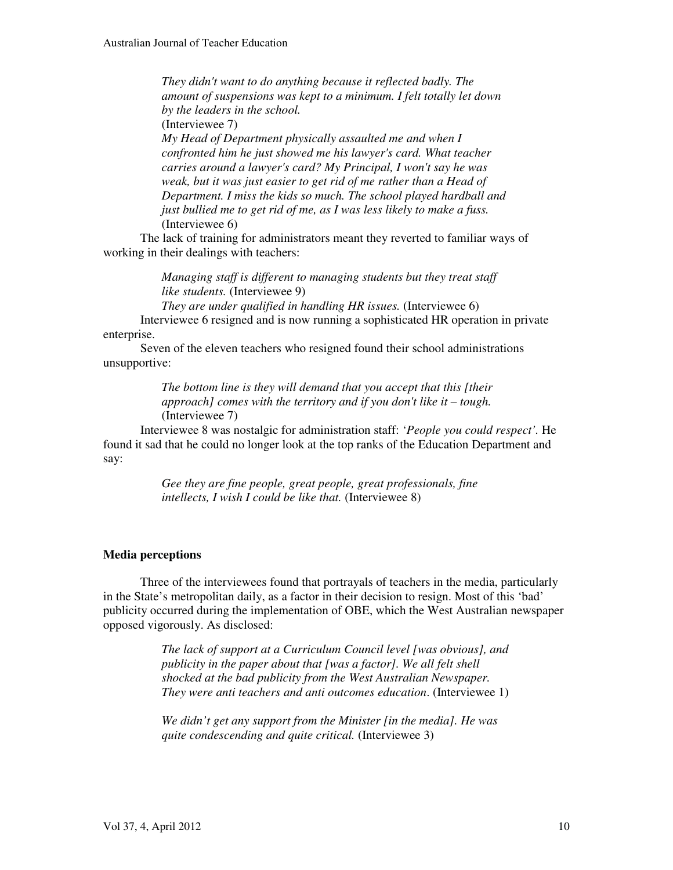*They didn't want to do anything because it reflected badly. The amount of suspensions was kept to a minimum. I felt totally let down by the leaders in the school.* 

(Interviewee 7)

*My Head of Department physically assaulted me and when I confronted him he just showed me his lawyer's card. What teacher carries around a lawyer's card? My Principal, I won't say he was weak, but it was just easier to get rid of me rather than a Head of Department. I miss the kids so much. The school played hardball and just bullied me to get rid of me, as I was less likely to make a fuss.* (Interviewee 6)

The lack of training for administrators meant they reverted to familiar ways of working in their dealings with teachers:

> *Managing staff is different to managing students but they treat staff like students.* (Interviewee 9)

*They are under qualified in handling HR issues.* (Interviewee 6) Interviewee 6 resigned and is now running a sophisticated HR operation in private enterprise.

Seven of the eleven teachers who resigned found their school administrations unsupportive:

> *The bottom line is they will demand that you accept that this [their approach] comes with the territory and if you don't like it – tough.* (Interviewee 7)

Interviewee 8 was nostalgic for administration staff: '*People you could respect'.* He found it sad that he could no longer look at the top ranks of the Education Department and say:

> *Gee they are fine people, great people, great professionals, fine intellects, I wish I could be like that.* (Interviewee 8)

#### **Media perceptions**

Three of the interviewees found that portrayals of teachers in the media, particularly in the State's metropolitan daily, as a factor in their decision to resign. Most of this 'bad' publicity occurred during the implementation of OBE, which the West Australian newspaper opposed vigorously. As disclosed:

> *The lack of support at a Curriculum Council level [was obvious], and publicity in the paper about that [was a factor]. We all felt shell shocked at the bad publicity from the West Australian Newspaper. They were anti teachers and anti outcomes education*. (Interviewee 1)

*We didn't get any support from the Minister [in the media]. He was quite condescending and quite critical.* (Interviewee 3)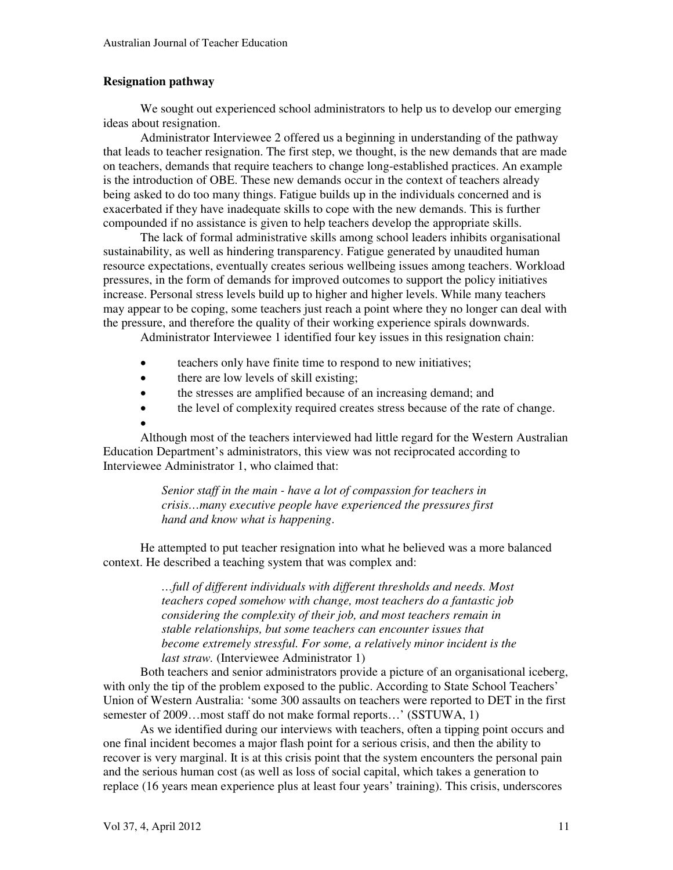# **Resignation pathway**

We sought out experienced school administrators to help us to develop our emerging ideas about resignation.

Administrator Interviewee 2 offered us a beginning in understanding of the pathway that leads to teacher resignation. The first step, we thought, is the new demands that are made on teachers, demands that require teachers to change long-established practices. An example is the introduction of OBE. These new demands occur in the context of teachers already being asked to do too many things. Fatigue builds up in the individuals concerned and is exacerbated if they have inadequate skills to cope with the new demands. This is further compounded if no assistance is given to help teachers develop the appropriate skills.

The lack of formal administrative skills among school leaders inhibits organisational sustainability, as well as hindering transparency. Fatigue generated by unaudited human resource expectations, eventually creates serious wellbeing issues among teachers. Workload pressures, in the form of demands for improved outcomes to support the policy initiatives increase. Personal stress levels build up to higher and higher levels. While many teachers may appear to be coping, some teachers just reach a point where they no longer can deal with the pressure, and therefore the quality of their working experience spirals downwards.

Administrator Interviewee 1 identified four key issues in this resignation chain:

- $\bullet$ teachers only have finite time to respond to new initiatives;
- $\bullet$ there are low levels of skill existing;
- $\bullet$ the stresses are amplified because of an increasing demand; and
- $\bullet$ the level of complexity required creates stress because of the rate of change.

 $\bullet$ 

Although most of the teachers interviewed had little regard for the Western Australian Education Department's administrators, this view was not reciprocated according to Interviewee Administrator 1, who claimed that:

> *Senior staff in the main - have a lot of compassion for teachers in crisis…many executive people have experienced the pressures first hand and know what is happening*.

He attempted to put teacher resignation into what he believed was a more balanced context. He described a teaching system that was complex and:

> *…full of different individuals with different thresholds and needs. Most teachers coped somehow with change, most teachers do a fantastic job considering the complexity of their job, and most teachers remain in stable relationships, but some teachers can encounter issues that become extremely stressful. For some, a relatively minor incident is the last straw.* (Interviewee Administrator 1)

Both teachers and senior administrators provide a picture of an organisational iceberg, with only the tip of the problem exposed to the public. According to State School Teachers' Union of Western Australia: 'some 300 assaults on teachers were reported to DET in the first semester of 2009...most staff do not make formal reports...' (SSTUWA, 1)

As we identified during our interviews with teachers, often a tipping point occurs and one final incident becomes a major flash point for a serious crisis, and then the ability to recover is very marginal. It is at this crisis point that the system encounters the personal pain and the serious human cost (as well as loss of social capital, which takes a generation to replace (16 years mean experience plus at least four years' training). This crisis, underscores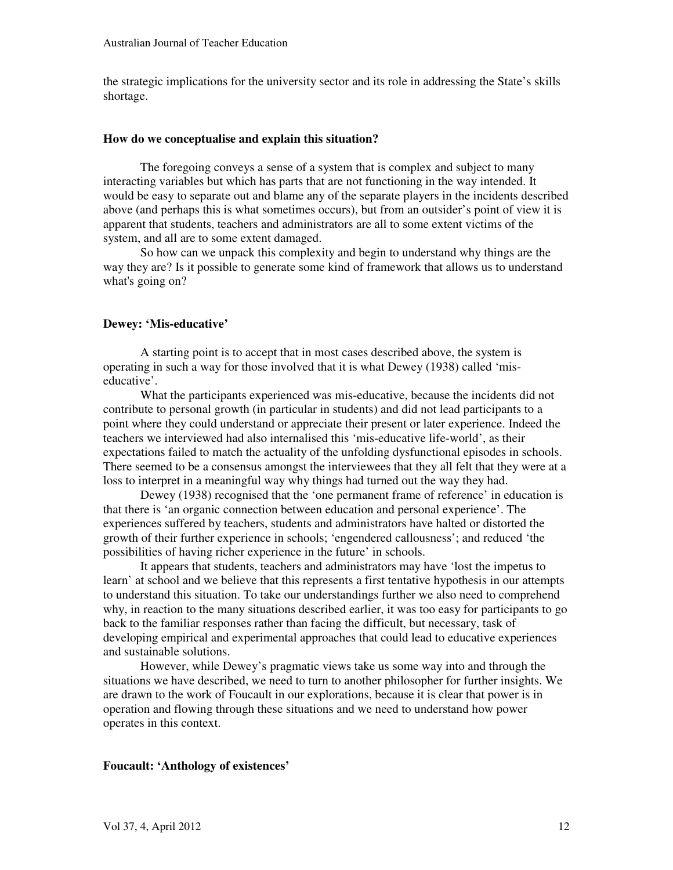the strategic implications for the university sector and its role in addressing the State's skills shortage.

#### **How do we conceptualise and explain this situation?**

The foregoing conveys a sense of a system that is complex and subject to many interacting variables but which has parts that are not functioning in the way intended. It would be easy to separate out and blame any of the separate players in the incidents described above (and perhaps this is what sometimes occurs), but from an outsider's point of view it is apparent that students, teachers and administrators are all to some extent victims of the system, and all are to some extent damaged.

So how can we unpack this complexity and begin to understand why things are the way they are? Is it possible to generate some kind of framework that allows us to understand what's going on?

# **Dewey: 'Mis-educative'**

A starting point is to accept that in most cases described above, the system is operating in such a way for those involved that it is what Dewey (1938) called 'miseducative'.

What the participants experienced was mis-educative, because the incidents did not contribute to personal growth (in particular in students) and did not lead participants to a point where they could understand or appreciate their present or later experience. Indeed the teachers we interviewed had also internalised this 'mis-educative life-world', as their expectations failed to match the actuality of the unfolding dysfunctional episodes in schools. There seemed to be a consensus amongst the interviewees that they all felt that they were at a loss to interpret in a meaningful way why things had turned out the way they had.

Dewey (1938) recognised that the 'one permanent frame of reference' in education is that there is 'an organic connection between education and personal experience'. The experiences suffered by teachers, students and administrators have halted or distorted the growth of their further experience in schools; 'engendered callousness'; and reduced 'the possibilities of having richer experience in the future' in schools.

It appears that students, teachers and administrators may have 'lost the impetus to learn' at school and we believe that this represents a first tentative hypothesis in our attempts to understand this situation. To take our understandings further we also need to comprehend why, in reaction to the many situations described earlier, it was too easy for participants to go back to the familiar responses rather than facing the difficult, but necessary, task of developing empirical and experimental approaches that could lead to educative experiences and sustainable solutions.

However, while Dewey's pragmatic views take us some way into and through the situations we have described, we need to turn to another philosopher for further insights. We are drawn to the work of Foucault in our explorations, because it is clear that power is in operation and flowing through these situations and we need to understand how power operates in this context.

#### **Foucault: 'Anthology of existences'**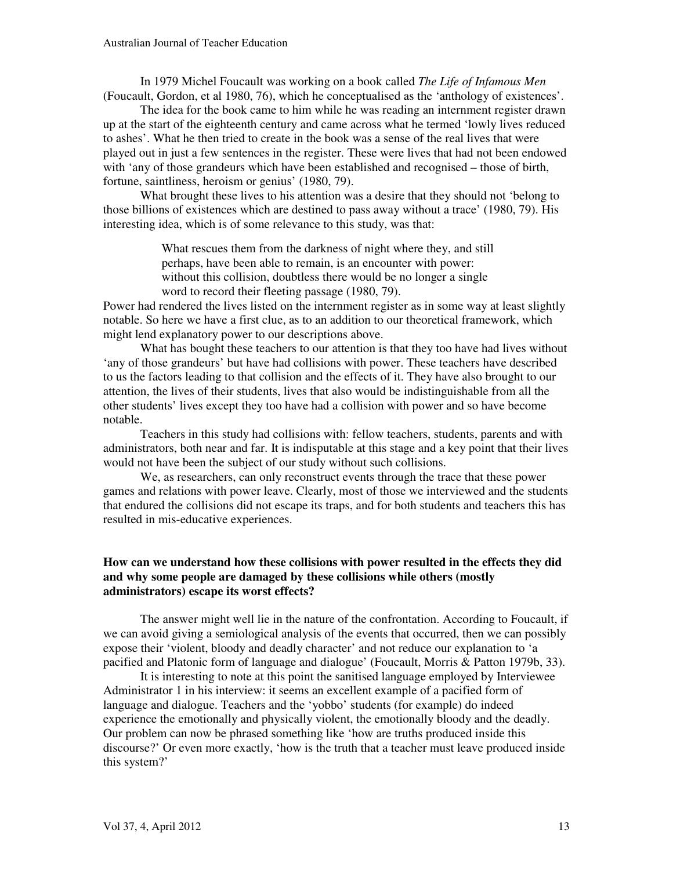In 1979 Michel Foucault was working on a book called *The Life of Infamous Men* (Foucault, Gordon, et al 1980, 76), which he conceptualised as the 'anthology of existences'.

The idea for the book came to him while he was reading an internment register drawn up at the start of the eighteenth century and came across what he termed 'lowly lives reduced to ashes'. What he then tried to create in the book was a sense of the real lives that were played out in just a few sentences in the register. These were lives that had not been endowed with 'any of those grandeurs which have been established and recognised – those of birth, fortune, saintliness, heroism or genius' (1980, 79).

What brought these lives to his attention was a desire that they should not 'belong to those billions of existences which are destined to pass away without a trace' (1980, 79). His interesting idea, which is of some relevance to this study, was that:

> What rescues them from the darkness of night where they, and still perhaps, have been able to remain, is an encounter with power: without this collision, doubtless there would be no longer a single word to record their fleeting passage (1980, 79).

Power had rendered the lives listed on the internment register as in some way at least slightly notable. So here we have a first clue, as to an addition to our theoretical framework, which might lend explanatory power to our descriptions above.

What has bought these teachers to our attention is that they too have had lives without 'any of those grandeurs' but have had collisions with power. These teachers have described to us the factors leading to that collision and the effects of it. They have also brought to our attention, the lives of their students, lives that also would be indistinguishable from all the other students' lives except they too have had a collision with power and so have become notable.

Teachers in this study had collisions with: fellow teachers, students, parents and with administrators, both near and far. It is indisputable at this stage and a key point that their lives would not have been the subject of our study without such collisions.

We, as researchers, can only reconstruct events through the trace that these power games and relations with power leave. Clearly, most of those we interviewed and the students that endured the collisions did not escape its traps, and for both students and teachers this has resulted in mis-educative experiences.

#### **How can we understand how these collisions with power resulted in the effects they did and why some people are damaged by these collisions while others (mostly administrators) escape its worst effects?**

The answer might well lie in the nature of the confrontation. According to Foucault, if we can avoid giving a semiological analysis of the events that occurred, then we can possibly expose their 'violent, bloody and deadly character' and not reduce our explanation to 'a pacified and Platonic form of language and dialogue' (Foucault, Morris & Patton 1979b, 33).

It is interesting to note at this point the sanitised language employed by Interviewee Administrator 1 in his interview: it seems an excellent example of a pacified form of language and dialogue. Teachers and the 'yobbo' students (for example) do indeed experience the emotionally and physically violent, the emotionally bloody and the deadly. Our problem can now be phrased something like 'how are truths produced inside this discourse?' Or even more exactly, 'how is the truth that a teacher must leave produced inside this system?'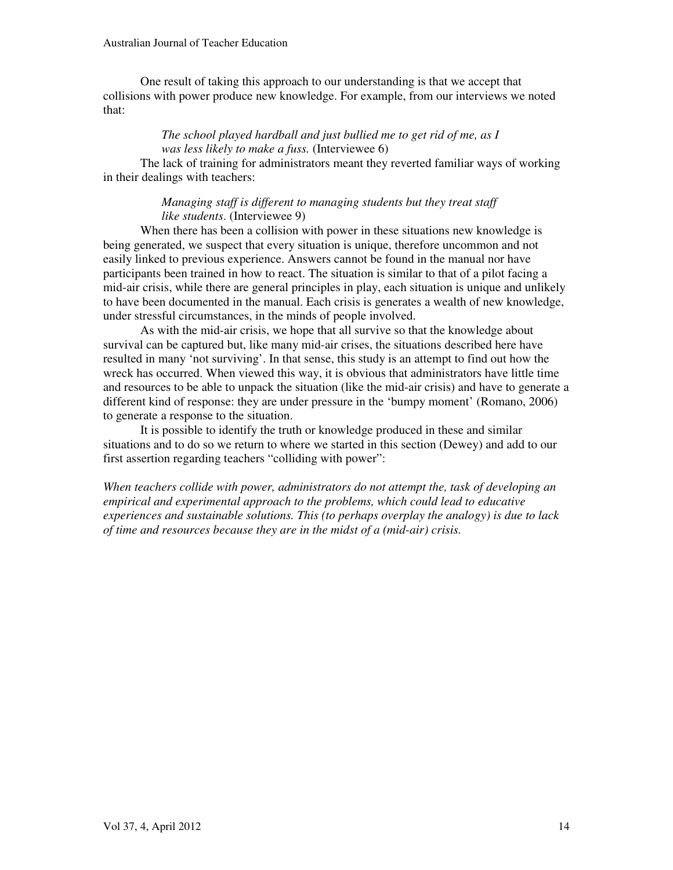One result of taking this approach to our understanding is that we accept that collisions with power produce new knowledge. For example, from our interviews we noted that:

# *The school played hardball and just bullied me to get rid of me, as I was less likely to make a fuss.* (Interviewee 6)

The lack of training for administrators meant they reverted familiar ways of working in their dealings with teachers:

#### *Managing staff is different to managing students but they treat staff like students*. (Interviewee 9)

When there has been a collision with power in these situations new knowledge is being generated, we suspect that every situation is unique, therefore uncommon and not easily linked to previous experience. Answers cannot be found in the manual nor have participants been trained in how to react. The situation is similar to that of a pilot facing a mid-air crisis, while there are general principles in play, each situation is unique and unlikely to have been documented in the manual. Each crisis is generates a wealth of new knowledge, under stressful circumstances, in the minds of people involved.

As with the mid-air crisis, we hope that all survive so that the knowledge about survival can be captured but, like many mid-air crises, the situations described here have resulted in many 'not surviving'. In that sense, this study is an attempt to find out how the wreck has occurred. When viewed this way, it is obvious that administrators have little time and resources to be able to unpack the situation (like the mid-air crisis) and have to generate a different kind of response: they are under pressure in the 'bumpy moment' (Romano, 2006) to generate a response to the situation.

It is possible to identify the truth or knowledge produced in these and similar situations and to do so we return to where we started in this section (Dewey) and add to our first assertion regarding teachers "colliding with power":

*When teachers collide with power, administrators do not attempt the, task of developing an empirical and experimental approach to the problems, which could lead to educative experiences and sustainable solutions. This (to perhaps overplay the analogy) is due to lack of time and resources because they are in the midst of a (mid-air) crisis.*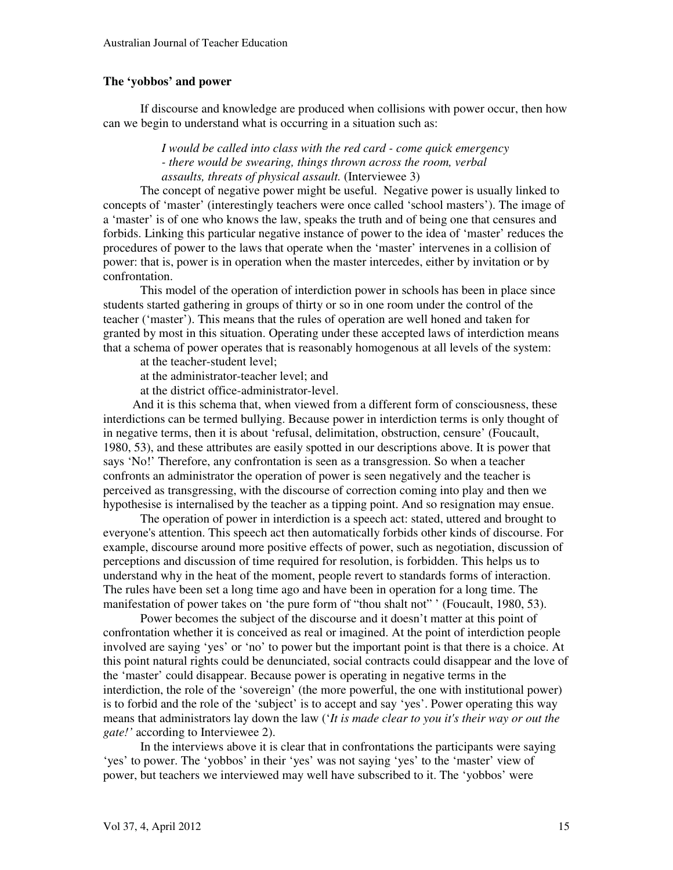#### **The 'yobbos' and power**

If discourse and knowledge are produced when collisions with power occur, then how can we begin to understand what is occurring in a situation such as:

> *I would be called into class with the red card - come quick emergency - there would be swearing, things thrown across the room, verbal assaults, threats of physical assault.* (Interviewee 3)

The concept of negative power might be useful. Negative power is usually linked to concepts of 'master' (interestingly teachers were once called 'school masters'). The image of a 'master' is of one who knows the law, speaks the truth and of being one that censures and forbids. Linking this particular negative instance of power to the idea of 'master' reduces the procedures of power to the laws that operate when the 'master' intervenes in a collision of power: that is, power is in operation when the master intercedes, either by invitation or by confrontation.

This model of the operation of interdiction power in schools has been in place since students started gathering in groups of thirty or so in one room under the control of the teacher ('master'). This means that the rules of operation are well honed and taken for granted by most in this situation. Operating under these accepted laws of interdiction means that a schema of power operates that is reasonably homogenous at all levels of the system:

at the teacher-student level;

at the administrator-teacher level; and

at the district office-administrator-level.

And it is this schema that, when viewed from a different form of consciousness, these interdictions can be termed bullying. Because power in interdiction terms is only thought of in negative terms, then it is about 'refusal, delimitation, obstruction, censure' (Foucault, 1980, 53), and these attributes are easily spotted in our descriptions above. It is power that says 'No!' Therefore, any confrontation is seen as a transgression. So when a teacher confronts an administrator the operation of power is seen negatively and the teacher is perceived as transgressing, with the discourse of correction coming into play and then we hypothesise is internalised by the teacher as a tipping point. And so resignation may ensue.

 The operation of power in interdiction is a speech act: stated, uttered and brought to everyone's attention. This speech act then automatically forbids other kinds of discourse. For example, discourse around more positive effects of power, such as negotiation, discussion of perceptions and discussion of time required for resolution, is forbidden. This helps us to understand why in the heat of the moment, people revert to standards forms of interaction. The rules have been set a long time ago and have been in operation for a long time. The manifestation of power takes on 'the pure form of "thou shalt not" ' (Foucault, 1980, 53).

Power becomes the subject of the discourse and it doesn't matter at this point of confrontation whether it is conceived as real or imagined. At the point of interdiction people involved are saying 'yes' or 'no' to power but the important point is that there is a choice. At this point natural rights could be denunciated, social contracts could disappear and the love of the 'master' could disappear. Because power is operating in negative terms in the interdiction, the role of the 'sovereign' (the more powerful, the one with institutional power) is to forbid and the role of the 'subject' is to accept and say 'yes'. Power operating this way means that administrators lay down the law ('*It is made clear to you it's their way or out the gate!'* according to Interviewee 2).

In the interviews above it is clear that in confrontations the participants were saying 'yes' to power. The 'yobbos' in their 'yes' was not saying 'yes' to the 'master' view of power, but teachers we interviewed may well have subscribed to it. The 'yobbos' were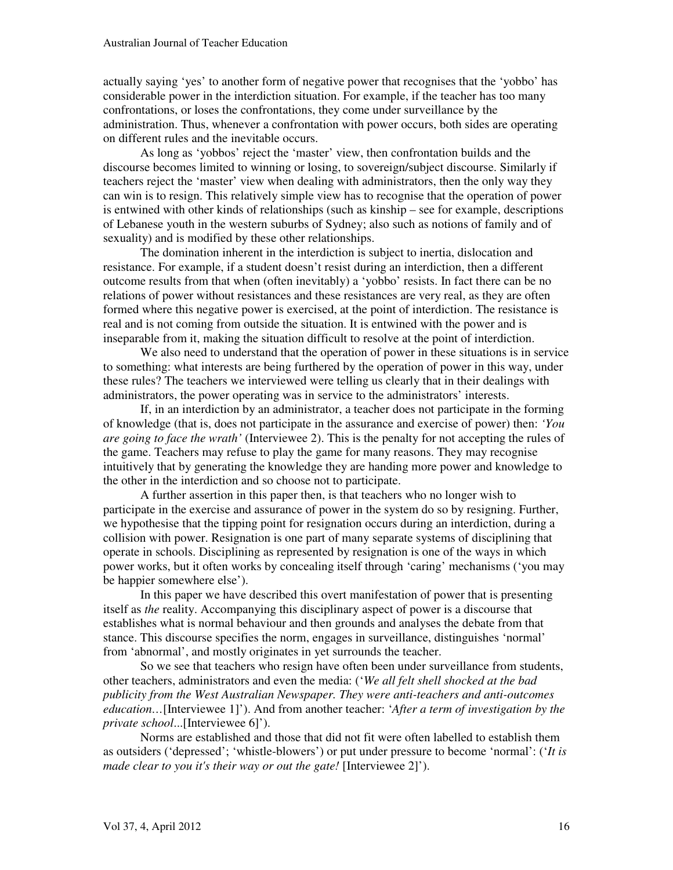actually saying 'yes' to another form of negative power that recognises that the 'yobbo' has considerable power in the interdiction situation. For example, if the teacher has too many confrontations, or loses the confrontations, they come under surveillance by the administration. Thus, whenever a confrontation with power occurs, both sides are operating on different rules and the inevitable occurs.

As long as 'yobbos' reject the 'master' view, then confrontation builds and the discourse becomes limited to winning or losing, to sovereign/subject discourse. Similarly if teachers reject the 'master' view when dealing with administrators, then the only way they can win is to resign. This relatively simple view has to recognise that the operation of power is entwined with other kinds of relationships (such as kinship – see for example, descriptions of Lebanese youth in the western suburbs of Sydney; also such as notions of family and of sexuality) and is modified by these other relationships.

The domination inherent in the interdiction is subject to inertia, dislocation and resistance. For example, if a student doesn't resist during an interdiction, then a different outcome results from that when (often inevitably) a 'yobbo' resists. In fact there can be no relations of power without resistances and these resistances are very real, as they are often formed where this negative power is exercised, at the point of interdiction. The resistance is real and is not coming from outside the situation. It is entwined with the power and is inseparable from it, making the situation difficult to resolve at the point of interdiction.

We also need to understand that the operation of power in these situations is in service to something: what interests are being furthered by the operation of power in this way, under these rules? The teachers we interviewed were telling us clearly that in their dealings with administrators, the power operating was in service to the administrators' interests.

If, in an interdiction by an administrator, a teacher does not participate in the forming of knowledge (that is, does not participate in the assurance and exercise of power) then: *'You are going to face the wrath'* (Interviewee 2). This is the penalty for not accepting the rules of the game. Teachers may refuse to play the game for many reasons. They may recognise intuitively that by generating the knowledge they are handing more power and knowledge to the other in the interdiction and so choose not to participate.

A further assertion in this paper then, is that teachers who no longer wish to participate in the exercise and assurance of power in the system do so by resigning. Further, we hypothesise that the tipping point for resignation occurs during an interdiction, during a collision with power. Resignation is one part of many separate systems of disciplining that operate in schools. Disciplining as represented by resignation is one of the ways in which power works, but it often works by concealing itself through 'caring' mechanisms ('you may be happier somewhere else').

In this paper we have described this overt manifestation of power that is presenting itself as *the* reality. Accompanying this disciplinary aspect of power is a discourse that establishes what is normal behaviour and then grounds and analyses the debate from that stance. This discourse specifies the norm, engages in surveillance, distinguishes 'normal' from 'abnormal', and mostly originates in yet surrounds the teacher.

So we see that teachers who resign have often been under surveillance from students, other teachers, administrators and even the media: ('*We all felt shell shocked at the bad publicity from the West Australian Newspaper. They were anti-teachers and anti-outcomes education…*[Interviewee 1]'). And from another teacher: '*After a term of investigation by the private school*...[Interviewee 6]').

Norms are established and those that did not fit were often labelled to establish them as outsiders ('depressed'; 'whistle-blowers') or put under pressure to become 'normal': ('*It is made clear to you it's their way or out the gate!* [Interviewee 2]').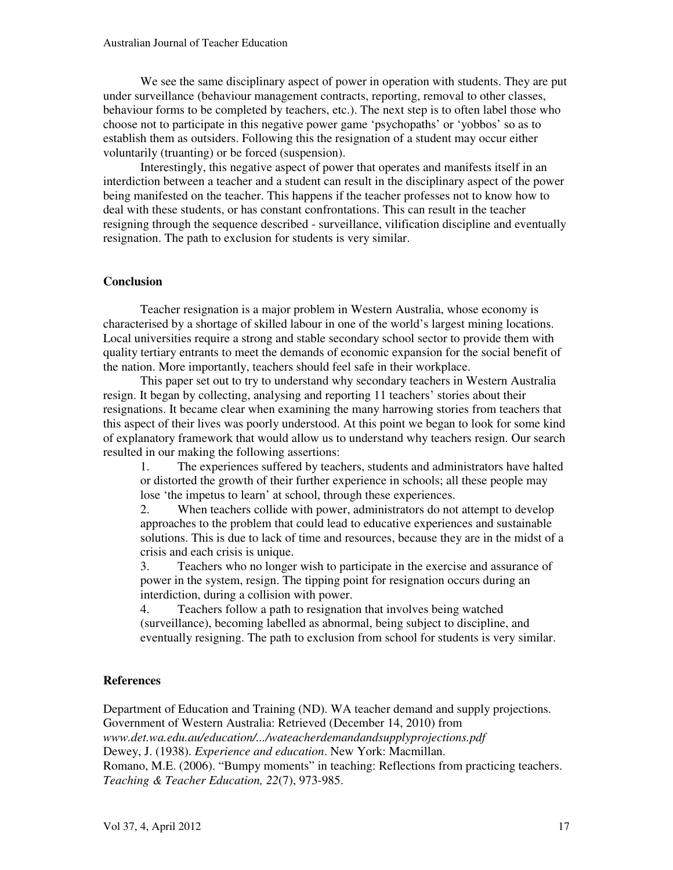We see the same disciplinary aspect of power in operation with students. They are put under surveillance (behaviour management contracts, reporting, removal to other classes, behaviour forms to be completed by teachers, etc.). The next step is to often label those who choose not to participate in this negative power game 'psychopaths' or 'yobbos' so as to establish them as outsiders. Following this the resignation of a student may occur either voluntarily (truanting) or be forced (suspension).

Interestingly, this negative aspect of power that operates and manifests itself in an interdiction between a teacher and a student can result in the disciplinary aspect of the power being manifested on the teacher. This happens if the teacher professes not to know how to deal with these students, or has constant confrontations. This can result in the teacher resigning through the sequence described - surveillance, vilification discipline and eventually resignation. The path to exclusion for students is very similar.

# **Conclusion**

Teacher resignation is a major problem in Western Australia, whose economy is characterised by a shortage of skilled labour in one of the world's largest mining locations. Local universities require a strong and stable secondary school sector to provide them with quality tertiary entrants to meet the demands of economic expansion for the social benefit of the nation. More importantly, teachers should feel safe in their workplace.

This paper set out to try to understand why secondary teachers in Western Australia resign. It began by collecting, analysing and reporting 11 teachers' stories about their resignations. It became clear when examining the many harrowing stories from teachers that this aspect of their lives was poorly understood. At this point we began to look for some kind of explanatory framework that would allow us to understand why teachers resign. Our search resulted in our making the following assertions:

1. The experiences suffered by teachers, students and administrators have halted or distorted the growth of their further experience in schools; all these people may lose 'the impetus to learn' at school, through these experiences.

2. When teachers collide with power, administrators do not attempt to develop approaches to the problem that could lead to educative experiences and sustainable solutions. This is due to lack of time and resources, because they are in the midst of a crisis and each crisis is unique.

3. Teachers who no longer wish to participate in the exercise and assurance of power in the system, resign. The tipping point for resignation occurs during an interdiction, during a collision with power.

4. Teachers follow a path to resignation that involves being watched (surveillance), becoming labelled as abnormal, being subject to discipline, and eventually resigning. The path to exclusion from school for students is very similar.

# **References**

Department of Education and Training (ND). WA teacher demand and supply projections. Government of Western Australia: Retrieved (December 14, 2010) from *www.det.wa.edu.au/education/.../wateacherdemandandsupplyprojections.pdf* Dewey, J. (1938). *Experience and education*. New York: Macmillan. Romano, M.E. (2006). "Bumpy moments" in teaching: Reflections from practicing teachers. *Teaching & Teacher Education, 22*(7), 973-985.